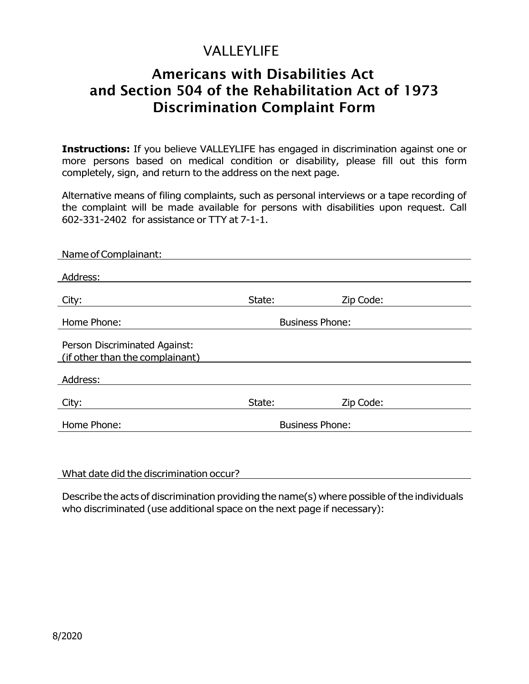# VALLEYLIFE

# Americans with Disabilities Act and Section 504 of the Rehabilitation Act of 1973 Discrimination Complaint Form

**Instructions:** If you believe VALLEYLIFE has engaged in discrimination against one or more persons based on medical condition or disability, please fill out this form completely, sign, and return to the address on the next page.

Alternative means of filing complaints, such as personal interviews or a tape recording of the complaint will be made available for persons with disabilities upon request. Call 602-331-2402 for assistance or TTY at 7-1-1.

| Name of Complainant:                                             |                        |           |
|------------------------------------------------------------------|------------------------|-----------|
| Address:                                                         |                        |           |
| City:                                                            | State:                 | Zip Code: |
| Home Phone:                                                      | <b>Business Phone:</b> |           |
| Person Discriminated Against:<br>(if other than the complainant) |                        |           |
| Address:                                                         |                        |           |
| City:                                                            | State:                 | Zip Code: |
| Home Phone:                                                      | <b>Business Phone:</b> |           |
|                                                                  |                        |           |

#### What date did the discrimination occur?

Describe the acts of discrimination providing the name(s) where possible of the individuals who discriminated (use additional space on the next page if necessary):